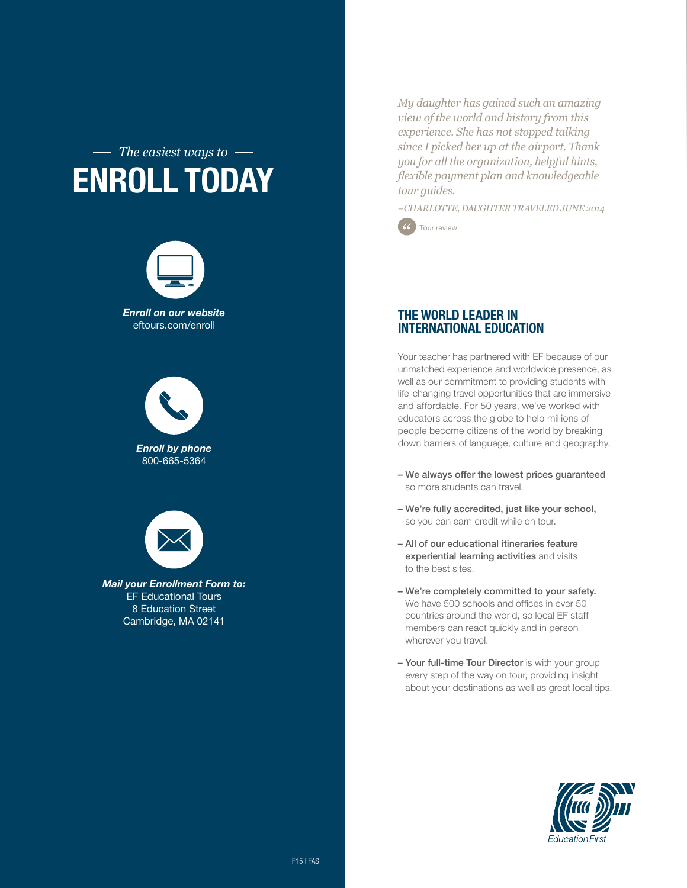## *The easiest ways to* Enroll today



eftours.com/enroll

*Enroll by phone* 800-665-5364



*Mail your Enrollment Form to:* EF Educational Tours 8 Education Street Cambridge, MA 02141

*My daughter has gained such an amazing view of the world and history from this experience. She has not stopped talking since I picked her up at the airport. Thank you for all the organization, helpful hints, flexible payment plan and knowledgeable tour guides.*

*–CHARLOTTE, DAUGHTER TRAVELED JUNE 2014*



## The World Leader in International Education

Your teacher has partnered with EF because of our unmatched experience and worldwide presence, as well as our commitment to providing students with life-changing travel opportunities that are immersive and affordable. For 50 years, we've worked with educators across the globe to help millions of people become citizens of the world by breaking down barriers of language, culture and geography.

- We always offer the lowest prices guaranteed so more students can travel.
- We're fully accredited, just like your school, so you can earn credit while on tour.
- All of our educational itineraries feature experiential learning activities and visits to the best sites.
- We're completely committed to your safety. We have 500 schools and offices in over 50 countries around the world, so local EF staff members can react quickly and in person wherever you travel.
- Your full-time Tour Director is with your group every step of the way on tour, providing insight about your destinations as well as great local tips.

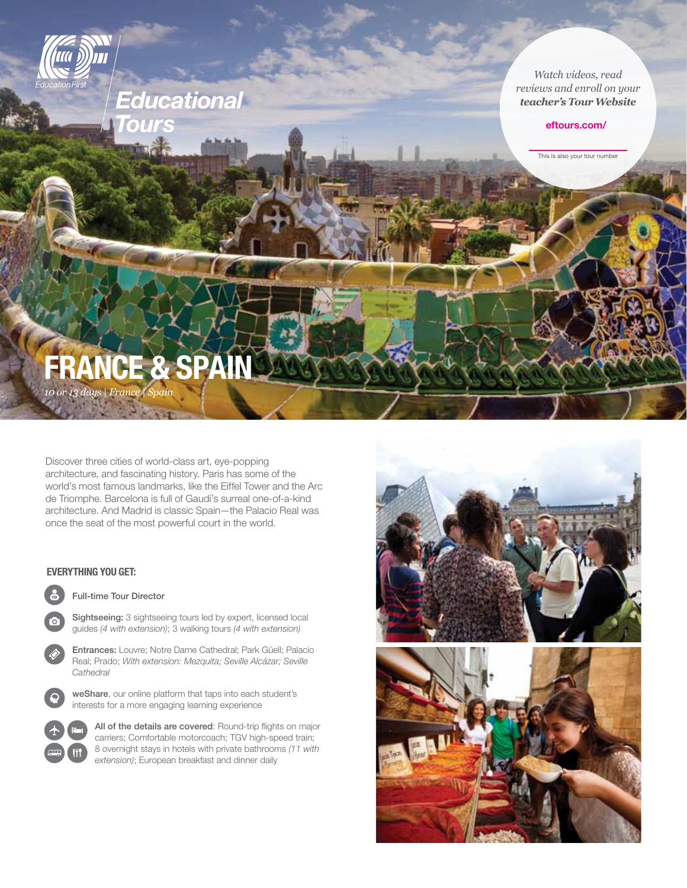

## eftours.com/

This is also your tour number

# **FRANCE & SPA**

*10 or 13 days | France | Spain*

Discover three cities of world-class art, eye-popping architecture, and fascinating history. Paris has some of the world's most famous landmarks, like the Eiffel Tower and the Arc de Triomphe. Barcelona is full of Gaudí's surreal one-of-a-kind architecture. And Madrid is classic Spain—the Palacio Real was once the seat of the most powerful court in the world.

**Educational** 

## Everything you get:



Full-time Tour Director



 Entrances: Louvre; Notre Dame Cathedral; Park Güell; Palacio Real; Prado; *With extension: Mezquita; Seville Alcázar; Seville Cathedral*



 weShare, our online platform that taps into each student's interests for a more engaging learning experience



All of the details are covered: Round-trip flights on major carriers; Comfortable motorcoach; TGV high-speed train; 8 overnight stays in hotels with private bathrooms *(11 with extension)*; European breakfast and dinner daily

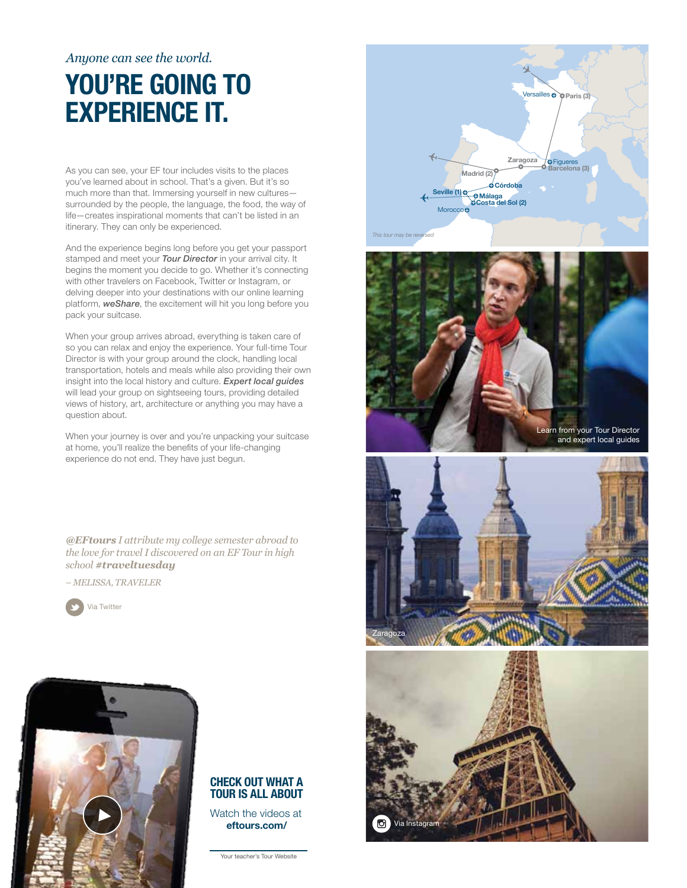## *Anyone can see the world.*

## YOU'RE GOING TO experience it.

As you can see, your EF tour includes visits to the places you've learned about in school. That's a given. But it's so much more than that. Immersing yourself in new cultures surrounded by the people, the language, the food, the way of life—creates inspirational moments that can't be listed in an itinerary. They can only be experienced.

And the experience begins long before you get your passport stamped and meet your *Tour Director* in your arrival city. It begins the moment you decide to go. Whether it's connecting with other travelers on Facebook, Twitter or Instagram, or delving deeper into your destinations with our online learning platform, *weShare*, the excitement will hit you long before you pack your suitcase.

When your group arrives abroad, everything is taken care of so you can relax and enjoy the experience. Your full-time Tour Director is with your group around the clock, handling local transportation, hotels and meals while also providing their own insight into the local history and culture. *Expert local guides* will lead your group on sightseeing tours, providing detailed views of history, art, architecture or anything you may have a question about.

When your journey is over and you're unpacking your suitcase at home, you'll realize the benefits of your life-changing experience do not end. They have just begun.

*@EFtours I attribute my college semester abroad to the love for travel I discovered on an EF Tour in high school #traveltuesday*

*– Melissa, Traveler*





## Check out what a tour is all about

Watch the videos at eftours.com/

Your teacher's Tour Website